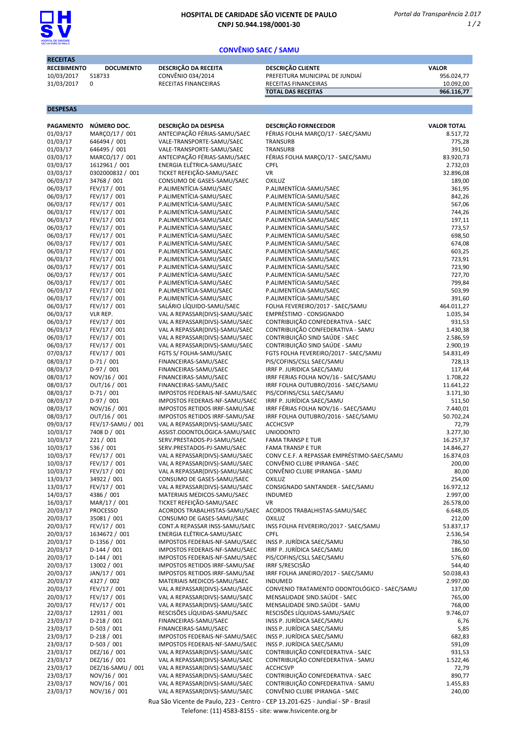

## CONVÊNIO SAEC / SAMU

| <b>RECEITAS</b>    |                   |                                |                                              |                    |
|--------------------|-------------------|--------------------------------|----------------------------------------------|--------------------|
| <b>RECEBIMENTO</b> | <b>DOCUMENTO</b>  | DESCRIÇÃO DA RECEITA           | <b>DESCRIÇÃO CLIENTE</b>                     | <b>VALOR</b>       |
| 10/03/2017         | 518733            | CONVÊNIO 034/2014              | PREFEITURA MUNICIPAL DE JUNDIAÍ              | 956.024,77         |
| 31/03/2017         | 0                 | RECEITAS FINANCEIRAS           | RECEITAS FINANCEIRAS                         | 10.092,00          |
|                    |                   |                                | <b>TOTAL DAS RECEITAS</b>                    | 966.116,77         |
|                    |                   |                                |                                              |                    |
| <b>DESPESAS</b>    |                   |                                |                                              |                    |
|                    |                   |                                |                                              |                    |
| <b>PAGAMENTO</b>   | NÚMERO DOC.       | DESCRIÇÃO DA DESPESA           | <b>DESCRIÇÃO FORNECEDOR</b>                  | <b>VALOR TOTAL</b> |
| 01/03/17           | MARÇO/17 / 001    | ANTECIPAÇÃO FÉRIAS-SAMU/SAEC   | FÉRIAS FOLHA MARÇO/17 - SAEC/SAMU            | 8.517,72           |
| 01/03/17           | 646494 / 001      | VALE-TRANSPORTE-SAMU/SAEC      | TRANSURB                                     | 775,28             |
| 01/03/17           | 646495 / 001      | VALE-TRANSPORTE-SAMU/SAEC      | TRANSURB                                     | 391,50             |
| 03/03/17           | MARCO/17 / 001    | ANTECIPAÇÃO FÉRIAS-SAMU/SAEC   | FÉRIAS FOLHA MARÇO/17 - SAEC/SAMU            | 83.920,73          |
| 03/03/17           | 1612961 / 001     | ENERGIA ELÉTRICA-SAMU/SAEC     | <b>CPFL</b>                                  | 2.732,03           |
| 03/03/17           | 0302000832 / 001  | TICKET REFEICÃO-SAMU/SAEC      | <b>VR</b>                                    | 32.896,08          |
| 06/03/17           | 34768 / 001       | CONSUMO DE GASES-SAMU/SAEC     | <b>OXILUZ</b>                                | 189,00             |
| 06/03/17           | FEV/17 / 001      | P.ALIMENTÍCIA-SAMU/SAEC        | P.ALIMENTÍCIA-SAMU/SAEC                      | 361,95             |
| 06/03/17           | FEV/17 / 001      | P.ALIMENTÍCIA-SAMU/SAEC        | P.ALIMENTÍCIA-SAMU/SAEC                      | 842,26             |
| 06/03/17           | FEV/17 / 001      | P.ALIMENTÍCIA-SAMU/SAEC        | P.ALIMENTÍCIA-SAMU/SAEC                      | 567,06             |
| 06/03/17           | FEV/17 / 001      | P.ALIMENTÍCIA-SAMU/SAEC        | P.ALIMENTÍCIA-SAMU/SAEC                      | 744,26             |
| 06/03/17           | FEV/17 / 001      | P.ALIMENTÍCIA-SAMU/SAEC        | P.ALIMENTÍCIA-SAMU/SAEC                      | 197,11             |
| 06/03/17           | FEV/17 / 001      | P.ALIMENTÍCIA-SAMU/SAEC        | P.ALIMENTÍCIA-SAMU/SAEC                      | 773,57             |
| 06/03/17           | FEV/17 / 001      | P.ALIMENTÍCIA-SAMU/SAEC        | P.ALIMENTÍCIA-SAMU/SAEC                      | 698,50             |
| 06/03/17           | FEV/17 / 001      | P.ALIMENTÍCIA-SAMU/SAEC        | P.ALIMENTÍCIA-SAMU/SAEC                      | 674,08             |
| 06/03/17           | FEV/17 / 001      | P.ALIMENTÍCIA-SAMU/SAEC        | P.ALIMENTÍCIA-SAMU/SAEC                      | 603,25             |
| 06/03/17           | FEV/17 / 001      | P.ALIMENTÍCIA-SAMU/SAEC        | P.ALIMENTÍCIA-SAMU/SAEC                      | 723,91             |
| 06/03/17           | FEV/17 / 001      | P.ALIMENTÍCIA-SAMU/SAEC        | P.ALIMENTÍCIA-SAMU/SAEC                      | 723,90             |
| 06/03/17           | FEV/17 / 001      | P.ALIMENTÍCIA-SAMU/SAEC        | P.ALIMENTÍCIA-SAMU/SAEC                      | 727,70             |
| 06/03/17           | FEV/17 / 001      | P.ALIMENTÍCIA-SAMU/SAEC        | P.ALIMENTÍCIA-SAMU/SAEC                      | 799,84             |
| 06/03/17           | FEV/17 / 001      | P.ALIMENTÍCIA-SAMU/SAEC        | P.ALIMENTÍCIA-SAMU/SAEC                      | 503,99             |
| 06/03/17           | FEV/17 / 001      | P.ALIMENTÍCIA-SAMU/SAEC        | P.ALIMENTÍCIA-SAMU/SAEC                      | 391,60             |
| 06/03/17           | FEV/17 / 001      | SALÁRIO LÍQUIDO-SAMU/SAEC      | FOLHA FEVEREIRO/2017 - SAEC/SAMU             | 464.011,27         |
| 06/03/17           | VLR REP.          | VAL A REPASSAR(DIVS)-SAMU/SAEC | EMPRÉSTIMO - CONSIGNADO                      | 1.035,34           |
| 06/03/17           | FEV/17 / 001      | VAL A REPASSAR(DIVS)-SAMU/SAEC | CONTRIBUIÇÃO CONFEDERATIVA - SAEC            | 931,53             |
| 06/03/17           | FEV/17 / 001      | VAL A REPASSAR(DIVS)-SAMU/SAEC | CONTRIBUIÇÃO CONFEDERATIVA - SAMU            | 1.430,38           |
| 06/03/17           | FEV/17 / 001      | VAL A REPASSAR(DIVS)-SAMU/SAEC | CONTRIBUIÇÃO SIND SAÚDE - SAEC               | 2.586,59           |
| 06/03/17           | FEV/17 / 001      | VAL A REPASSAR(DIVS)-SAMU/SAEC | CONTRIBUIÇÃO SIND SAÚDE - SAMU               | 2.900,19           |
| 07/03/17           | FEV/17 / 001      | FGTS S/ FOLHA-SAMU/SAEC        | FGTS FOLHA FEVEREIRO/2017 - SAEC/SAMU        | 54.831,49          |
| 08/03/17           | $D-71/001$        | FINANCEIRAS-SAMU/SAEC          | PIS/COFINS/CSLL SAEC/SAMU                    | 728,13             |
| 08/03/17           | $D-97/001$        | FINANCEIRAS-SAMU/SAEC          | IRRF P. JURIDICA SAEC/SAMU                   | 117,44             |
| 08/03/17           | NOV/16 / 001      | FINANCEIRAS-SAMU/SAEC          | IRRF FERIAS FOLHA NOV/16 - SAEC/SAMU         | 1.708,22           |
| 08/03/17           | OUT/16 / 001      | FINANCEIRAS-SAMU/SAEC          | IRRF FOLHA OUTUBRO/2016 - SAEC/SAMU          | 11.641,22          |
| 08/03/17           | $D-71/001$        | IMPOSTOS FEDERAIS-NF-SAMU/SAEC | PIS/COFINS/CSLL SAEC/SAMU                    | 3.171,30           |
| 08/03/17           | $D-97/001$        | IMPOSTOS FEDERAIS-NF-SAMU/SAEC | IRRF P. JURÍDICA SAEC/SAMU                   | 511,50             |
| 08/03/17           | NOV/16 / 001      | IMPOSTOS RETIDOS IRRF-SAMU/SAE | IRRF FÉRIAS FOLHA NOV/16 - SAEC/SAMU         | 7.440,01           |
| 08/03/17           | OUT/16 / 001      | IMPOSTOS RETIDOS IRRF-SAMU/SAE | IRRF FOLHA OUTUBRO/2016 - SAEC/SAMU          | 50.702,24          |
| 09/03/17           | FEV/17-SAMU / 001 | VAL A REPASSAR(DIVS)-SAMU/SAEC | <b>ACCHCSVP</b>                              | 72,79              |
| 10/03/17           | 7408 D / 001      | ASSIST.ODONTOLÓGICA-SAMU/SAEC  | <b>UNIODONTO</b>                             | 3.277,30           |
| 10/03/17           | 221/001           | SERV.PRESTADOS-PJ-SAMU/SAEC    | <b>FAMA TRANSP E TUR</b>                     | 16.257,37          |
| 10/03/17           | 536 / 001         | SERV.PRESTADOS-PJ-SAMU/SAEC    | <b>FAMA TRANSP E TUR</b>                     | 14.846,27          |
| 10/03/17           | FEV/17 / 001      | VAL A REPASSAR(DIVS)-SAMU/SAEC | CONV C.E.F. A REPASSAR EMPRÉSTIMO-SAEC/SAMU  | 16.874,03          |
| 10/03/17           | FEV/17 / 001      | VAL A REPASSAR(DIVS)-SAMU/SAEC | CONVÊNIO CLUBE IPIRANGA - SAEC               | 200,00             |
| 10/03/17           | FEV/17 / 001      | VAL A REPASSAR(DIVS)-SAMU/SAEC | CONVÊNIO CLUBE IPIRANGA - SAMU               | 80,00              |
| 13/03/17           | 34922 / 001       | CONSUMO DE GASES-SAMU/SAEC     | <b>OXILUZ</b>                                | 254,00             |
| 13/03/17           | FEV/17 / 001      | VAL A REPASSAR(DIVS)-SAMU/SAEC | CONSIGNADO SANTANDER - SAEC/SAMU             | 16.972,12          |
| 14/03/17           | 4386 / 001        | MATERIAIS MEDICOS-SAMU/SAEC    | INDUMED                                      | 2.997,00           |
| 16/03/17           | MAR/17 / 001      | TICKET REFEIÇÃO-SAMU/SAEC      | VR                                           | 26.578,00          |
| 20/03/17           | <b>PROCESSO</b>   | ACORDOS TRABALHISTAS-SAMU/SAEC | ACORDOS TRABALHISTAS-SAMU/SAEC               | 6.648,05           |
| 20/03/17           | 35081 / 001       | CONSUMO DE GASES-SAMU/SAEC     | <b>OXILUZ</b>                                | 212,00             |
| 20/03/17           | FEV/17 / 001      | CONT.A REPASSAR INSS-SAMU/SAEC | INSS FOLHA FEVEREIRO/2017 - SAEC/SAMU        | 53.837,17          |
| 20/03/17           | 1634672 / 001     | ENERGIA ELÉTRICA-SAMU/SAEC     | <b>CPFL</b>                                  | 2.536,54           |
| 20/03/17           | D-1356 / 001      | IMPOSTOS FEDERAIS-NF-SAMU/SAEC | INSS P. JURÍDICA SAEC/SAMU                   | 786,50             |
| 20/03/17           | $D-144 / 001$     | IMPOSTOS FEDERAIS-NF-SAMU/SAEC | IRRF P. JURÍDICA SAEC/SAMU                   | 186,00             |
| 20/03/17           | $D-144 / 001$     | IMPOSTOS FEDERAIS-NF-SAMU/SAEC | PIS/COFINS/CSLL SAEC/SAMU                    | 576,60             |
| 20/03/17           | 13002 / 001       | IMPOSTOS RETIDOS IRRF-SAMU/SAE | IRRF S/RESCISÃO                              | 544,40             |
| 20/03/17           | JAN/17 / 001      | IMPOSTOS RETIDOS IRRF-SAMU/SAE | IRRF FOLHA JANEIRO/2017 - SAEC/SAMU          | 50.038,43          |
| 20/03/17           | 4327 / 002        | MATERIAIS MEDICOS-SAMU/SAEC    | INDUMED                                      | 2.997,00           |
| 20/03/17           | FEV/17 / 001      | VAL A REPASSAR(DIVS)-SAMU/SAEC | CONVENIO TRATAMENTO ODONTOLÓGICO - SAEC/SAMU | 137,00             |
| 20/03/17           | FEV/17 / 001      | VAL A REPASSAR(DIVS)-SAMU/SAEC | MENSALIDADE SIND.SAÚDE - SAEC                | 765,00             |
| 20/03/17           | FEV/17 / 001      | VAL A REPASSAR(DIVS)-SAMU/SAEC | MENSALIDADE SIND.SAÚDE - SAMU                | 768,00             |
| 22/03/17           | 12931 / 001       | RESCISÕES LÍQUIDAS-SAMU/SAEC   | RESCISÕES LÍQUIDAS-SAMU/SAEC                 | 9.746,07           |
| 23/03/17           | $D-218/001$       | FINANCEIRAS-SAMU/SAEC          | INSS P. JURÍDICA SAEC/SAMU                   | 6,76               |
| 23/03/17           | $D-503 / 001$     | FINANCEIRAS-SAMU/SAEC          | INSS P. JURÍDICA SAEC/SAMU                   | 5,85               |
| 23/03/17           | $D-218/001$       | IMPOSTOS FEDERAIS-NF-SAMU/SAEC | INSS P. JURÍDICA SAEC/SAMU                   | 682,83             |
| 23/03/17           | $D-503 / 001$     | IMPOSTOS FEDERAIS-NF-SAMU/SAEC | INSS P. JURÍDICA SAEC/SAMU                   | 591,09             |
| 23/03/17           | DEZ/16 / 001      | VAL A REPASSAR(DIVS)-SAMU/SAEC | CONTRIBUIÇÃO CONFEDERATIVA - SAEC            | 931,53             |
| 23/03/17           | DEZ/16 / 001      | VAL A REPASSAR(DIVS)-SAMU/SAEC | CONTRIBUIÇÃO CONFEDERATIVA - SAMU            | 1.522,46           |
| 23/03/17           | DEZ/16-SAMU / 001 | VAL A REPASSAR(DIVS)-SAMU/SAEC | <b>ACCHCSVP</b>                              | 72,79              |
| 23/03/17           | NOV/16 / 001      | VAL A REPASSAR(DIVS)-SAMU/SAEC | CONTRIBUIÇÃO CONFEDERATIVA - SAEC            | 890,77             |
| 23/03/17           | NOV/16 / 001      | VAL A REPASSAR(DIVS)-SAMU/SAEC | CONTRIBUIÇÃO CONFEDERATIVA - SAMU            | 1.455,83           |
| 23/03/17           | NOV/16 / 001      | VAL A REPASSAR(DIVS)-SAMU/SAEC | CONVÊNIO CLUBE IPIRANGA - SAEC               | 240,00             |

Rua São Vicente de Paulo, 223 - Centro - CEP 13.201-625 - Jundiaí - SP - Brasil